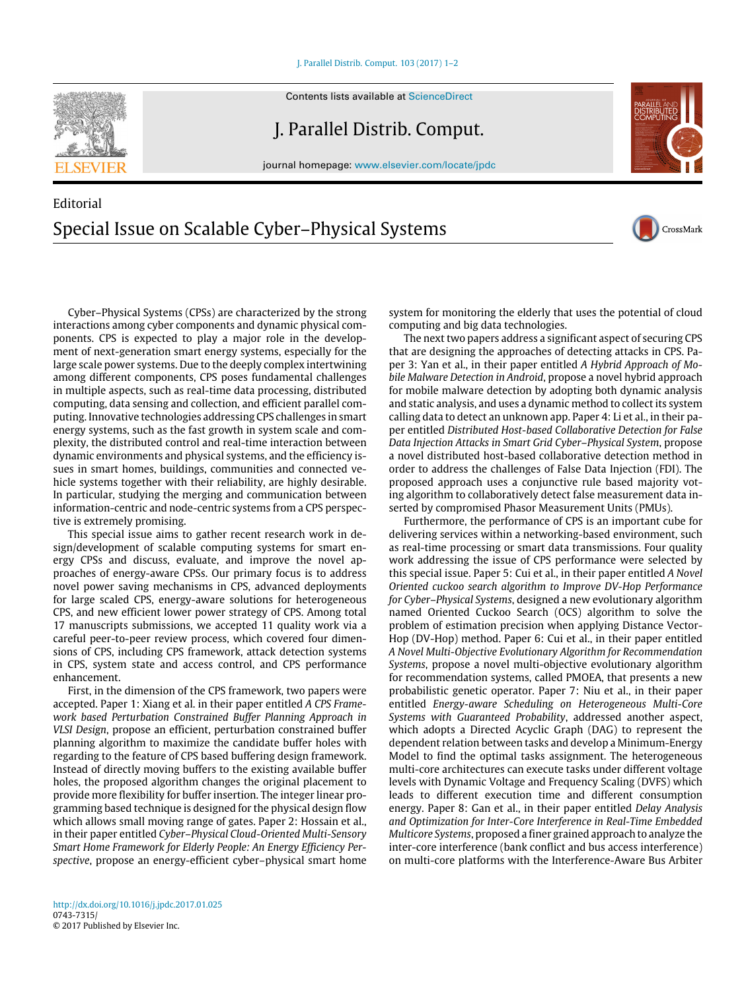[J. Parallel Distrib. Comput. 103 \(2017\) 1–2](http://dx.doi.org/10.1016/j.jpdc.2017.01.025)

Contents lists available at [ScienceDirect](http://www.elsevier.com/locate/jpdc)

J. Parallel Distrib. Comput.

journal homepage: [www.elsevier.com/locate/jpdc](http://www.elsevier.com/locate/jpdc)

## Editorial Special Issue on Scalable Cyber–Physical Systems

Cyber–Physical Systems (CPSs) are characterized by the strong interactions among cyber components and dynamic physical components. CPS is expected to play a major role in the development of next-generation smart energy systems, especially for the large scale power systems. Due to the deeply complex intertwining among different components, CPS poses fundamental challenges in multiple aspects, such as real-time data processing, distributed computing, data sensing and collection, and efficient parallel computing. Innovative technologies addressing CPS challenges in smart energy systems, such as the fast growth in system scale and complexity, the distributed control and real-time interaction between dynamic environments and physical systems, and the efficiency is-

system for monitoring the elderly that uses the potential of cloud computing and big data technologies. The next two papers address a significant aspect of securing CPS

that are designing the approaches of detecting attacks in CPS. Paper 3: Yan et al., in their paper entitled *A Hybrid Approach of Mobile Malware Detection in Android*, propose a novel hybrid approach for mobile malware detection by adopting both dynamic analysis and static analysis, and uses a dynamic method to collect its system calling data to detect an unknown app. Paper 4: Li et al., in their paper entitled *Distributed Host-based Collaborative Detection for False Data Injection Attacks in Smart Grid Cyber–Physical System*, propose a novel distributed host-based collaborative detection method in order to address the challenges of False Data Injection (FDI). The proposed approach uses a conjunctive rule based majority voting algorithm to collaboratively detect false measurement data inserted by compromised Phasor Measurement Units (PMUs).

Furthermore, the performance of CPS is an important cube for delivering services within a networking-based environment, such as real-time processing or smart data transmissions. Four quality work addressing the issue of CPS performance were selected by this special issue. Paper 5: Cui et al., in their paper entitled *A Novel Oriented cuckoo search algorithm to Improve DV-Hop Performance for Cyber–Physical Systems*, designed a new evolutionary algorithm named Oriented Cuckoo Search (OCS) algorithm to solve the problem of estimation precision when applying Distance Vector-Hop (DV-Hop) method. Paper 6: Cui et al., in their paper entitled *A Novel Multi-Objective Evolutionary Algorithm for Recommendation Systems*, propose a novel multi-objective evolutionary algorithm for recommendation systems, called PMOEA, that presents a new probabilistic genetic operator. Paper 7: Niu et al., in their paper entitled *Energy-aware Scheduling on Heterogeneous Multi-Core Systems with Guaranteed Probability*, addressed another aspect, which adopts a Directed Acyclic Graph (DAG) to represent the dependent relation between tasks and develop a Minimum-Energy Model to find the optimal tasks assignment. The heterogeneous multi-core architectures can execute tasks under different voltage levels with Dynamic Voltage and Frequency Scaling (DVFS) which leads to different execution time and different consumption energy. Paper 8: Gan et al., in their paper entitled *Delay Analysis and Optimization for Inter-Core Interference in Real-Time Embedded Multicore Systems*, proposed a finer grained approach to analyze the inter-core interference (bank conflict and bus access interference) on multi-core platforms with the Interference-Aware Bus Arbiter

careful peer-to-peer review process, which covered four dimensions of CPS, including CPS framework, attack detection systems in CPS, system state and access control, and CPS performance enhancement. First, in the dimension of the CPS framework, two papers were

accepted. Paper 1: Xiang et al. in their paper entitled *A CPS Framework based Perturbation Constrained Buffer Planning Approach in VLSI Design*, propose an efficient, perturbation constrained buffer planning algorithm to maximize the candidate buffer holes with regarding to the feature of CPS based buffering design framework. Instead of directly moving buffers to the existing available buffer holes, the proposed algorithm changes the original placement to provide more flexibility for buffer insertion. The integer linear programming based technique is designed for the physical design flow which allows small moving range of gates. Paper 2: Hossain et al., in their paper entitled *Cyber–Physical Cloud-Oriented Multi-Sensory Smart Home Framework for Elderly People: An Energy Efficiency Perspective*, propose an energy-efficient cyber–physical smart home